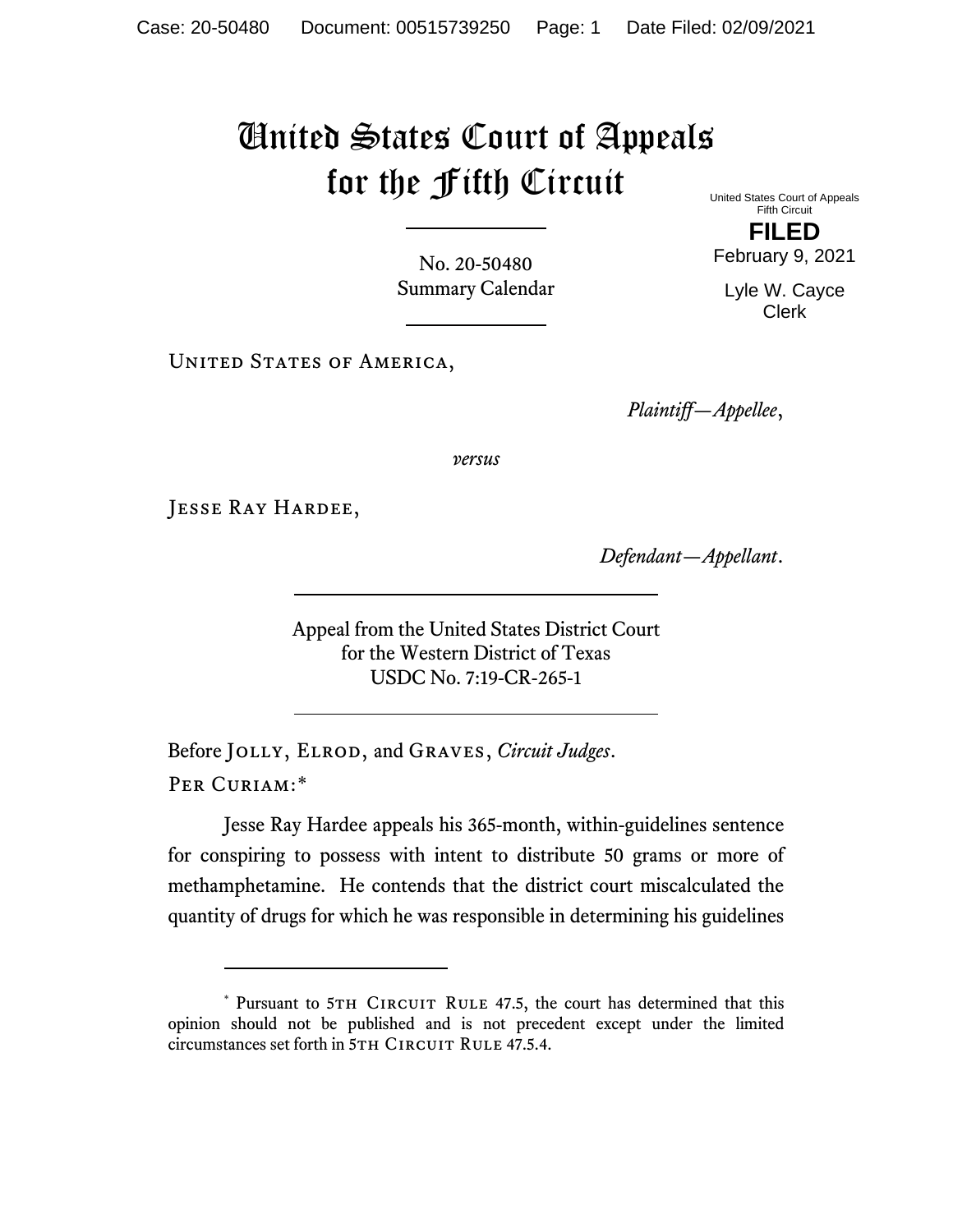## United States Court of Appeals for the Fifth Circuit United States Court of Appeals

No. 20-50480 Summary Calendar

UNITED STATES OF AMERICA,

*Plaintiff—Appellee*,

*versus*

Jesse Ray Hardee,

*Defendant—Appellant*.

Appeal from the United States District Court for the Western District of Texas USDC No. 7:19-CR-265-1

Before Jolly, Elrod, and Graves, *Circuit Judges*. Per Curiam:[\\*](#page-0-0)

Jesse Ray Hardee appeals his 365-month, within-guidelines sentence for conspiring to possess with intent to distribute 50 grams or more of methamphetamine. He contends that the district court miscalculated the quantity of drugs for which he was responsible in determining his guidelines

Fifth Circuit **FILED**

February 9, 2021

Lyle W. Cayce Clerk

<span id="page-0-0"></span><sup>\*</sup> Pursuant to 5TH CIRCUIT RULE 47.5, the court has determined that this opinion should not be published and is not precedent except under the limited circumstances set forth in 5TH CIRCUIT RULE 47.5.4.